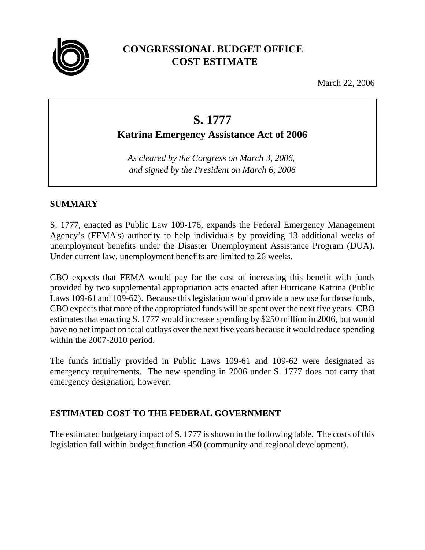

# **CONGRESSIONAL BUDGET OFFICE COST ESTIMATE**

March 22, 2006

# **S. 1777**

**Katrina Emergency Assistance Act of 2006**

*As cleared by the Congress on March 3, 2006*, *and signed by the President on March 6, 2006*

# **SUMMARY**

S. 1777, enacted as Public Law 109-176, expands the Federal Emergency Management Agency's (FEMA's) authority to help individuals by providing 13 additional weeks of unemployment benefits under the Disaster Unemployment Assistance Program (DUA). Under current law, unemployment benefits are limited to 26 weeks.

CBO expects that FEMA would pay for the cost of increasing this benefit with funds provided by two supplemental appropriation acts enacted after Hurricane Katrina (Public Laws 109-61 and 109-62). Because this legislation would provide a new use for those funds, CBO expects that more of the appropriated funds will be spent over the next five years. CBO estimates that enacting S. 1777 would increase spending by \$250 million in 2006, but would have no net impact on total outlays over the next five years because it would reduce spending within the 2007-2010 period.

The funds initially provided in Public Laws 109-61 and 109-62 were designated as emergency requirements. The new spending in 2006 under S. 1777 does not carry that emergency designation, however.

# **ESTIMATED COST TO THE FEDERAL GOVERNMENT**

The estimated budgetary impact of S. 1777 is shown in the following table. The costs of this legislation fall within budget function 450 (community and regional development).